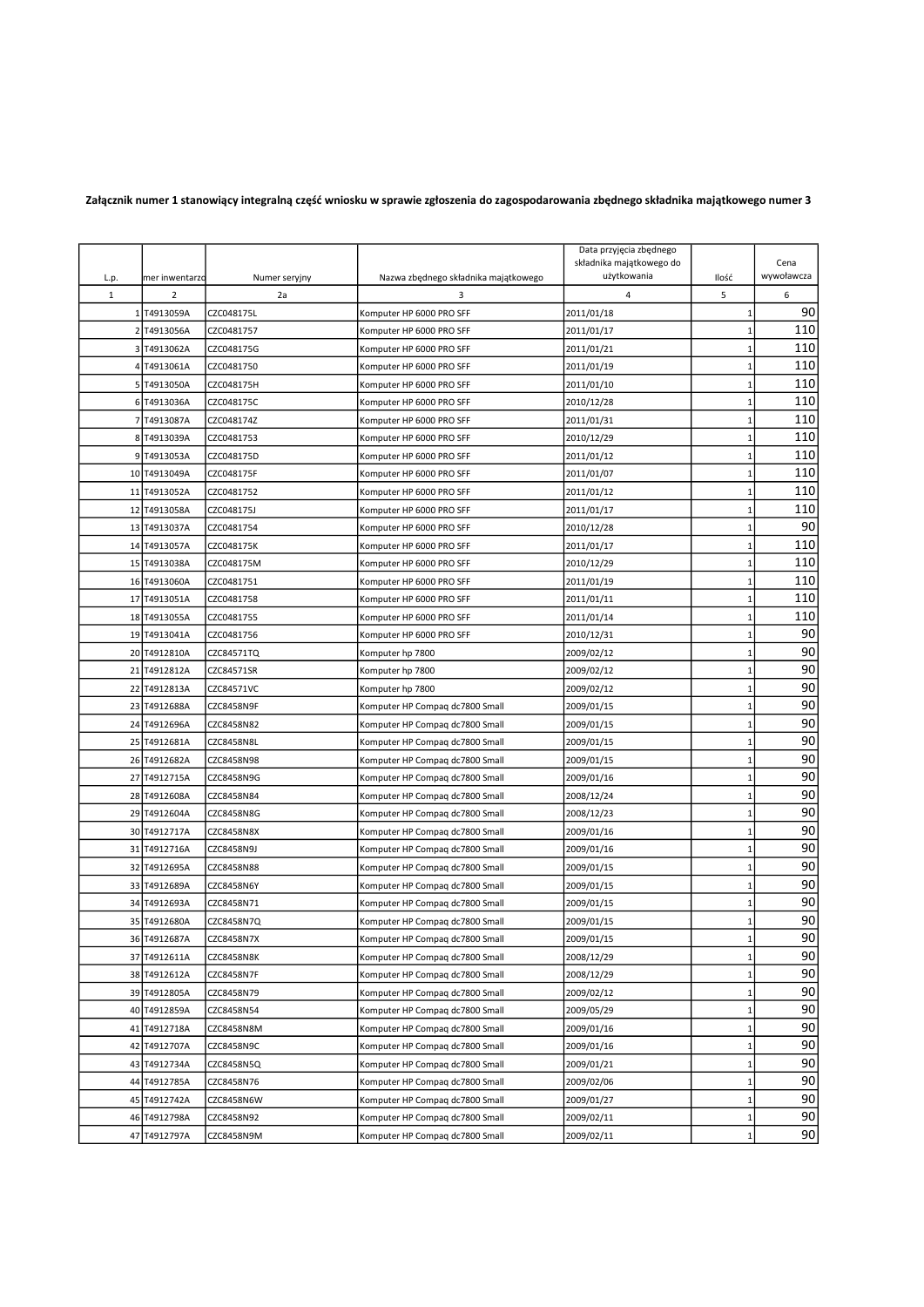## Załącznik numer 1 stanowiący integralną część wniosku w sprawie zgłoszenia do zagospodarowania zbędnego składnika majątkowego numer 3

| L.p.         | mer inwentarzo | Numer seryjny     | Nazwa zbędnego składnika majątkowego | Data przyjęcia zbędnego<br>składnika majątkowego do<br>użytkowania | Ilość        | Cena<br>wywoławcza |
|--------------|----------------|-------------------|--------------------------------------|--------------------------------------------------------------------|--------------|--------------------|
| $\mathbf{1}$ | $\overline{2}$ | 2a                | 3                                    | $\overline{4}$                                                     | 5            | 6                  |
|              | 1 T4913059A    | CZC048175L        | Komputer HP 6000 PRO SFF             | 2011/01/18                                                         | 1            | 90                 |
|              | 2 T4913056A    | CZC0481757        | Komputer HP 6000 PRO SFF             | 2011/01/17                                                         | $\mathbf 1$  | 110                |
|              | 3 T4913062A    | CZC048175G        | Komputer HP 6000 PRO SFF             | 2011/01/21                                                         | $\mathbf 1$  | 110                |
|              | 4 T4913061A    | CZC0481750        | Komputer HP 6000 PRO SFF             | 2011/01/19                                                         | $\mathbf 1$  | 110                |
|              | 5 T4913050A    | CZC048175H        | Komputer HP 6000 PRO SFF             | 2011/01/10                                                         | $\mathbf 1$  | 110                |
|              | 6 T4913036A    | CZC048175C        | Komputer HP 6000 PRO SFF             | 2010/12/28                                                         | $\mathbf{1}$ | 110                |
|              | 7 T4913087A    | CZC048174Z        | Komputer HP 6000 PRO SFF             | 2011/01/31                                                         | $\mathbf{1}$ | 110                |
|              | 8 T4913039A    | CZC0481753        | Komputer HP 6000 PRO SFF             | 2010/12/29                                                         | $\mathbf 1$  | 110                |
|              | 9 T4913053A    | CZC048175D        | Komputer HP 6000 PRO SFF             | 2011/01/12                                                         | $\mathbf{1}$ | 110                |
|              | 10 T4913049A   | CZC048175F        | Komputer HP 6000 PRO SFF             | 2011/01/07                                                         | $\mathbf{1}$ | 110                |
|              | 11 T4913052A   | CZC0481752        | Komputer HP 6000 PRO SFF             | 2011/01/12                                                         | $\mathbf{1}$ | 110                |
|              | 12 T4913058A   | CZC048175J        | Komputer HP 6000 PRO SFF             | 2011/01/17                                                         | $\mathbf{1}$ | 110                |
|              | 13 T4913037A   | CZC0481754        | Komputer HP 6000 PRO SFF             | 2010/12/28                                                         | $\mathbf{1}$ | 90                 |
|              | 14 T4913057A   | CZC048175K        | Komputer HP 6000 PRO SFF             | 2011/01/17                                                         | $\mathbf{1}$ | 110                |
|              | 15 T4913038A   | CZC048175M        | Komputer HP 6000 PRO SFF             | 2010/12/29                                                         | $\mathbf 1$  | 110                |
|              | 16 T4913060A   | CZC0481751        | Komputer HP 6000 PRO SFF             | 2011/01/19                                                         | $\mathbf 1$  | 110                |
|              | 17 T4913051A   | CZC0481758        | Komputer HP 6000 PRO SFF             | 2011/01/11                                                         | $\mathbf 1$  | 110                |
|              | 18 T4913055A   | CZC0481755        | Komputer HP 6000 PRO SFF             | 2011/01/14                                                         | $\mathbf{1}$ | 110                |
|              | 19 T4913041A   | CZC0481756        | Komputer HP 6000 PRO SFF             | 2010/12/31                                                         | $\mathbf{1}$ | 90                 |
|              | 20 T4912810A   | CZC84571TQ        | Komputer hp 7800                     | 2009/02/12                                                         | $\mathbf{1}$ | 90                 |
|              | 21 T4912812A   | CZC84571SR        | Komputer hp 7800                     | 2009/02/12                                                         | $\mathbf 1$  | 90                 |
|              | 22 T4912813A   | CZC84571VC        | Komputer hp 7800                     | 2009/02/12                                                         | $\mathbf{1}$ | 90                 |
|              | 23 T4912688A   | CZC8458N9F        | Komputer HP Compaq dc7800 Small      | 2009/01/15                                                         | $\mathbf{1}$ | 90                 |
|              | 24 T4912696A   | CZC8458N82        | Komputer HP Compaq dc7800 Small      | 2009/01/15                                                         | $\mathbf{1}$ | 90                 |
|              | 25 T4912681A   | CZC8458N8L        | Komputer HP Compaq dc7800 Small      | 2009/01/15                                                         | $\mathbf{1}$ | 90                 |
|              | 26 T4912682A   | CZC8458N98        | Komputer HP Compaq dc7800 Small      | 2009/01/15                                                         | $\mathbf{1}$ | 90                 |
|              | 27 T4912715A   | CZC8458N9G        | Komputer HP Compaq dc7800 Small      | 2009/01/16                                                         | $\mathbf 1$  | 90                 |
|              | 28 T4912608A   | CZC8458N84        | Komputer HP Compaq dc7800 Small      | 2008/12/24                                                         | $\mathbf 1$  | 90                 |
|              | 29 T4912604A   | CZC8458N8G        | Komputer HP Compaq dc7800 Small      | 2008/12/23                                                         | $\mathbf 1$  | 90                 |
|              | 30 T4912717A   | CZC8458N8X        | Komputer HP Compaq dc7800 Small      | 2009/01/16                                                         | $\mathbf{1}$ | 90                 |
|              | 31 T4912716A   | CZC8458N9J        | Komputer HP Compaq dc7800 Small      | 2009/01/16                                                         | $\mathbf{1}$ | 90                 |
|              | 32 T4912695A   | CZC8458N88        | Komputer HP Compaq dc7800 Small      | 2009/01/15                                                         | $\mathbf{1}$ | 90                 |
|              | 33 T4912689A   | <b>CZC8458N6Y</b> | Komputer HP Compaq dc7800 Small      | 2009/01/15                                                         | $\mathbf{1}$ | 90                 |
|              | 34 T4912693A   | CZC8458N71        | Komputer HP Compaq dc7800 Small      | 2009/01/15                                                         | $\mathbf{1}$ | 90                 |
|              | 35 T4912680A   | CZC8458N7Q        | Komputer HP Compaq dc7800 Small      | 2009/01/15                                                         | $\mathbf{1}$ | 90                 |
|              | 36 T4912687A   | CZC8458N7X        | Komputer HP Compaq dc7800 Small      | 2009/01/15                                                         | 1            | 90                 |
|              | 37 T4912611A   | CZC8458N8K        | Komputer HP Compaq dc7800 Small      | 2008/12/29                                                         | $1\,$        | 90                 |
|              | 38 T4912612A   | CZC8458N7F        | Komputer HP Compaq dc7800 Small      | 2008/12/29                                                         | $\mathbf{1}$ | 90                 |
|              | 39 T4912805A   | CZC8458N79        | Komputer HP Compaq dc7800 Small      | 2009/02/12                                                         | $1\,$        | 90                 |
|              | 40 T4912859A   | CZC8458N54        | Komputer HP Compaq dc7800 Small      | 2009/05/29                                                         | $\mathbf 1$  | 90                 |
|              | 41 T4912718A   | CZC8458N8M        | Komputer HP Compaq dc7800 Small      | 2009/01/16                                                         | $\mathbf{1}$ | 90                 |
|              | 42 T4912707A   | CZC8458N9C        | Komputer HP Compag dc7800 Small      | 2009/01/16                                                         | $1\,$        | 90                 |
|              | 43 T4912734A   | CZC8458N5Q        | Komputer HP Compaq dc7800 Small      | 2009/01/21                                                         | $\mathbf{1}$ | 90                 |
|              | 44 T4912785A   | CZC8458N76        | Komputer HP Compaq dc7800 Small      | 2009/02/06                                                         | $\mathbf{1}$ | 90                 |
|              | 45 T4912742A   | CZC8458N6W        | Komputer HP Compag dc7800 Small      | 2009/01/27                                                         | 1            | 90                 |
|              | 46 T4912798A   | CZC8458N92        | Komputer HP Compaq dc7800 Small      | 2009/02/11                                                         | $1\,$        | 90                 |
|              | 47 T4912797A   | CZC8458N9M        | Komputer HP Compag dc7800 Small      | 2009/02/11                                                         | $\mathbf{1}$ | 90                 |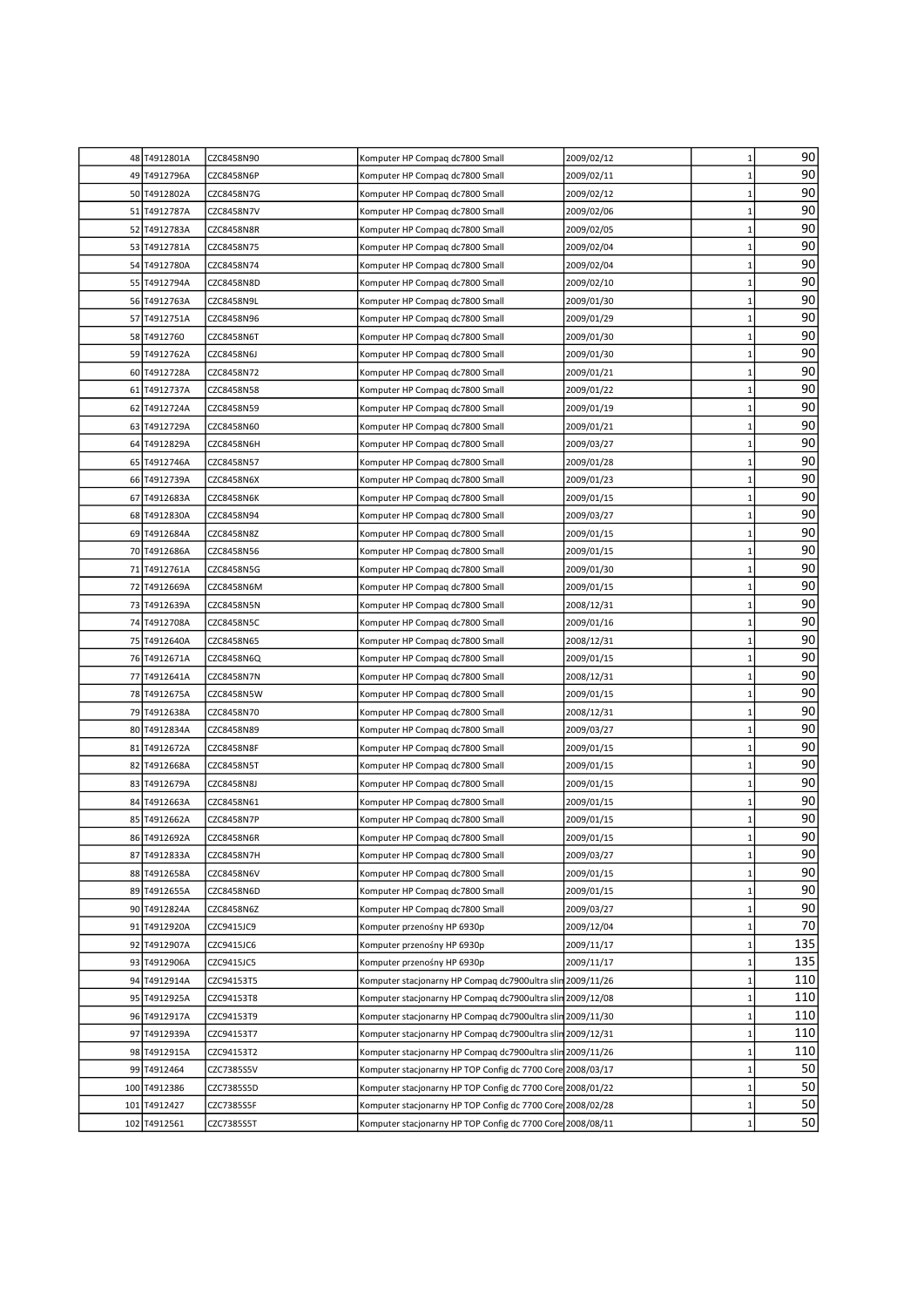|     | 48 T4912801A | CZC8458N90        | Komputer HP Compaq dc7800 Small                            | 2009/02/12 | $\mathbf{1}$ | 90  |
|-----|--------------|-------------------|------------------------------------------------------------|------------|--------------|-----|
|     | 49 T4912796A | CZC8458N6P        | Komputer HP Compaq dc7800 Small                            | 2009/02/11 | $\mathbf{1}$ | 90  |
|     | 50 T4912802A | CZC8458N7G        | Komputer HP Compaq dc7800 Small                            | 2009/02/12 | $\mathbf{1}$ | 90  |
|     | 51 T4912787A | CZC8458N7V        | Komputer HP Compaq dc7800 Small                            | 2009/02/06 | $\mathbf{1}$ | 90  |
|     | 52 T4912783A | CZC8458N8R        | Komputer HP Compaq dc7800 Small                            | 2009/02/05 | $\mathbf{1}$ | 90  |
| 53  | T4912781A    | CZC8458N75        | Komputer HP Compaq dc7800 Small                            | 2009/02/04 | $\mathbf{1}$ | 90  |
| 54  | T4912780A    | CZC8458N74        | Komputer HP Compaq dc7800 Small                            | 2009/02/04 | $\mathbf{1}$ | 90  |
| 55  | T4912794A    | CZC8458N8D        | Komputer HP Compaq dc7800 Small                            | 2009/02/10 | $\mathbf{1}$ | 90  |
|     | 56 T4912763A | CZC8458N9L        | Komputer HP Compaq dc7800 Small                            | 2009/01/30 | $\mathbf{1}$ | 90  |
|     | 57 T4912751A | CZC8458N96        | Komputer HP Compaq dc7800 Small                            | 2009/01/29 | $\mathbf{1}$ | 90  |
|     | 58 T4912760  | CZC8458N6T        | Komputer HP Compaq dc7800 Small                            | 2009/01/30 | $\mathbf{1}$ | 90  |
| 59  | T4912762A    | CZC8458N6J        | Komputer HP Compaq dc7800 Small                            | 2009/01/30 | $\mathbf{1}$ | 90  |
|     | 60 T4912728A | CZC8458N72        | Komputer HP Compaq dc7800 Small                            | 2009/01/21 | 1            | 90  |
| 61  | T4912737A    | CZC8458N58        | Komputer HP Compaq dc7800 Small                            | 2009/01/22 | $\mathbf{1}$ | 90  |
| 62  | T4912724A    | CZC8458N59        | Komputer HP Compaq dc7800 Small                            | 2009/01/19 | $\mathbf{1}$ | 90  |
| 63  | T4912729A    | CZC8458N60        | Komputer HP Compaq dc7800 Small                            | 2009/01/21 | $\mathbf{1}$ | 90  |
| 64  | T4912829A    | <b>CZC8458N6H</b> | Komputer HP Compaq dc7800 Small                            | 2009/03/27 | $\mathbf{1}$ | 90  |
|     | 65 T4912746A | CZC8458N57        | Komputer HP Compaq dc7800 Small                            | 2009/01/28 | $\mathbf{1}$ | 90  |
|     | 66 T4912739A | CZC8458N6X        | Komputer HP Compaq dc7800 Small                            | 2009/01/23 | $\mathbf{1}$ | 90  |
| 67  | T4912683A    | CZC8458N6K        | Komputer HP Compaq dc7800 Small                            | 2009/01/15 | 1            | 90  |
|     | 68 T4912830A | CZC8458N94        | Komputer HP Compaq dc7800 Small                            | 2009/03/27 | $\mathbf{1}$ | 90  |
|     | 69 T4912684A | CZC8458N8Z        | Komputer HP Compaq dc7800 Small                            | 2009/01/15 | $\mathbf{1}$ | 90  |
|     | 70 T4912686A | CZC8458N56        | Komputer HP Compaq dc7800 Small                            | 2009/01/15 | $\mathbf{1}$ | 90  |
|     | 71 T4912761A | CZC8458N5G        | Komputer HP Compaq dc7800 Small                            | 2009/01/30 | $\mathbf{1}$ | 90  |
| 72  | T4912669A    | CZC8458N6M        | Komputer HP Compaq dc7800 Small                            | 2009/01/15 | $\mathbf{1}$ | 90  |
| 73  | T4912639A    | CZC8458N5N        | Komputer HP Compaq dc7800 Small                            | 2008/12/31 | $\mathbf{1}$ | 90  |
| 74  | T4912708A    | CZC8458N5C        | Komputer HP Compaq dc7800 Small                            | 2009/01/16 | $\mathbf{1}$ | 90  |
| 75  | T4912640A    | CZC8458N65        | Komputer HP Compag dc7800 Small                            | 2008/12/31 | $\mathbf{1}$ | 90  |
|     | 76 T4912671A | CZC8458N6Q        | Komputer HP Compaq dc7800 Small                            | 2009/01/15 | $\mathbf{1}$ | 90  |
| 77  | T4912641A    | CZC8458N7N        | Komputer HP Compaq dc7800 Small                            | 2008/12/31 | $\mathbf{1}$ | 90  |
| 78  | T4912675A    | CZC8458N5W        | Komputer HP Compaq dc7800 Small                            | 2009/01/15 | $\mathbf{1}$ | 90  |
| 79  | T4912638A    | CZC8458N70        | Komputer HP Compaq dc7800 Small                            | 2008/12/31 | $\mathbf{1}$ | 90  |
| 80  | T4912834A    | CZC8458N89        | Komputer HP Compaq dc7800 Small                            | 2009/03/27 | 1            | 90  |
|     | 81 T4912672A | CZC8458N8F        | Komputer HP Compaq dc7800 Small                            | 2009/01/15 | $\mathbf{1}$ | 90  |
|     | 82 T4912668A | CZC8458N5T        | Komputer HP Compaq dc7800 Small                            | 2009/01/15 | $\mathbf{1}$ | 90  |
|     | 83 T4912679A | <b>CZC8458N8J</b> | Komputer HP Compaq dc7800 Small                            | 2009/01/15 | $\mathbf{1}$ | 90  |
|     | 84 T4912663A | CZC8458N61        | Komputer HP Compaq dc7800 Small                            | 2009/01/15 | $\mathbf{1}$ | 90  |
|     | 85 T4912662A | CZC8458N7P        | Komputer HP Compag dc7800 Small                            | 2009/01/15 | 1            | 90  |
|     | 86 T4912692A | <b>CZC8458N6R</b> | Komputer HP Compag dc7800 Small                            | 2009/01/15 | $\mathbf{1}$ | 90  |
|     | 87 T4912833A | CZC8458N7H        | Komputer HP Compaq dc7800 Small                            | 2009/03/27 | $\mathbf{1}$ | 90  |
|     | 88 T4912658A | CZC8458N6V        | Komputer HP Compaq dc7800 Small                            | 2009/01/15 | 1            | 90  |
|     | 89 T4912655A | CZC8458N6D        | Komputer HP Compaq dc7800 Small                            | 2009/01/15 | $\mathbf{1}$ | 90  |
|     | 90 T4912824A | CZC8458N6Z        | Komputer HP Compaq dc7800 Small                            | 2009/03/27 | $\mathbf{1}$ | 90  |
| 91  | T4912920A    | CZC9415JC9        | Komputer przenośny HP 6930p                                | 2009/12/04 | 1            | 70  |
| 92  | T4912907A    | CZC9415JC6        | Komputer przenośny HP 6930p                                | 2009/11/17 | $\mathbf{1}$ | 135 |
|     | 93 T4912906A | CZC9415JC5        | Komputer przenośny HP 6930p                                | 2009/11/17 | $\mathbf{1}$ | 135 |
|     | 94 T4912914A | CZC94153T5        | Komputer stacjonarny HP Compaq dc7900ultra slin 2009/11/26 |            | $\mathbf{1}$ | 110 |
|     | 95 T4912925A | CZC94153T8        | Komputer stacjonarny HP Compaq dc7900ultra slin 2009/12/08 |            | $\mathbf{1}$ | 110 |
|     | 96 T4912917A | CZC94153T9        | Komputer stacjonarny HP Compaq dc7900ultra slin 2009/11/30 |            | $\mathbf{1}$ | 110 |
|     | 97 T4912939A | CZC94153T7        | Komputer stacjonarny HP Compag dc7900ultra slin 2009/12/31 |            | $\mathbf{1}$ | 110 |
| 98  | T4912915A    | CZC94153T2        | Komputer stacjonarny HP Compaq dc7900ultra slin 2009/11/26 |            | 1            | 110 |
| 99  | T4912464     | CZC7385S5V        | Komputer stacjonarny HP TOP Config dc 7700 Core 2008/03/17 |            | 1            | 50  |
| 100 | T4912386     | CZC7385S5D        | Komputer stacjonarny HP TOP Config dc 7700 Core 2008/01/22 |            | $\mathbf{1}$ | 50  |
| 101 | T4912427     | CZC7385S5F        | Komputer stacjonarny HP TOP Config dc 7700 Core 2008/02/28 |            | $\mathbf{1}$ | 50  |
|     | 102 T4912561 | CZC7385S5T        | Komputer stacjonarny HP TOP Config dc 7700 Core 2008/08/11 |            | $\mathbf{1}$ | 50  |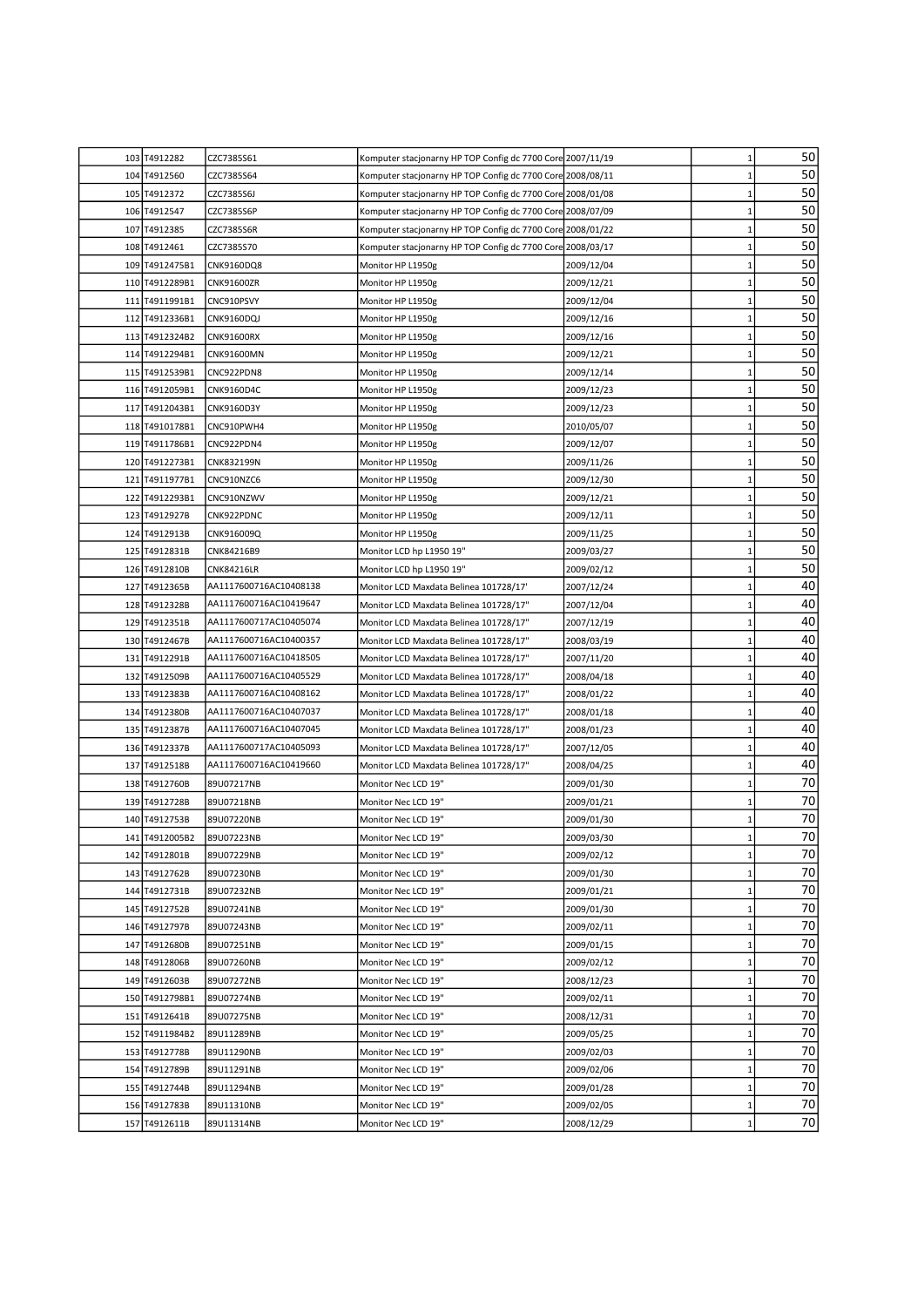|     | 103 T4912282   | CZC7385S61             | Komputer stacjonarny HP TOP Config dc 7700 Core 2007/11/19 |            | $\mathbf{1}$ | 50 |
|-----|----------------|------------------------|------------------------------------------------------------|------------|--------------|----|
| 104 | T4912560       | CZC7385S64             | Komputer stacjonarny HP TOP Config dc 7700 Core 2008/08/11 |            | 1            | 50 |
| 105 | T4912372       | CZC7385S6J             | Komputer stacjonarny HP TOP Config dc 7700 Core 2008/01/08 |            | $\mathbf{1}$ | 50 |
|     | 106 T4912547   | CZC7385S6P             | Komputer stacjonarny HP TOP Config dc 7700 Core 2008/07/09 |            | $\mathbf{1}$ | 50 |
| 107 | T4912385       | CZC7385S6R             | Komputer stacjonarny HP TOP Config dc 7700 Core 2008/01/22 |            | $\mathbf{1}$ | 50 |
|     | 108 T4912461   | CZC7385S70             | Komputer stacjonarny HP TOP Config dc 7700 Core 2008/03/17 |            | $\mathbf{1}$ | 50 |
|     | 109 T4912475B1 | CNK9160DQ8             | Monitor HP L1950g                                          | 2009/12/04 | $\mathbf{1}$ | 50 |
|     | 110 T4912289B1 | CNK91600ZR             | Monitor HP L1950g                                          | 2009/12/21 | 1            | 50 |
|     | 111 T4911991B1 | CNC910PSVY             | Monitor HP L1950g                                          | 2009/12/04 | $\mathbf{1}$ | 50 |
|     | 112 T4912336B1 | CNK9160DQJ             | Monitor HP L1950g                                          | 2009/12/16 | 1            | 50 |
|     | 113 T4912324B2 | <b>CNK91600RX</b>      | Monitor HP L1950g                                          | 2009/12/16 | $\mathbf{1}$ | 50 |
|     | 114 T4912294B1 | CNK91600MN             | Monitor HP L1950g                                          | 2009/12/21 | $\mathbf{1}$ | 50 |
| 115 | T4912539B1     | CNC922PDN8             | Monitor HP L1950g                                          | 2009/12/14 | $\mathbf{1}$ | 50 |
| 116 | T4912059B1     | CNK9160D4C             | Monitor HP L1950g                                          | 2009/12/23 | 1            | 50 |
| 117 | T4912043B1     | CNK9160D3Y             | Monitor HP L1950g                                          | 2009/12/23 | 1            | 50 |
| 118 | T4910178B1     | CNC910PWH4             | Monitor HP L1950g                                          | 2010/05/07 | 1            | 50 |
| 119 | T4911786B1     | CNC922PDN4             | Monitor HP L1950g                                          | 2009/12/07 | $\mathbf{1}$ | 50 |
|     | 120 T4912273B1 | CNK832199N             | Monitor HP L1950g                                          | 2009/11/26 | $\mathbf{1}$ | 50 |
| 121 | T4911977B1     | CNC910NZC6             | Monitor HP L1950g                                          | 2009/12/30 | $\mathbf{1}$ | 50 |
| 122 | T4912293B1     | CNC910NZWV             | Monitor HP L1950g                                          | 2009/12/21 | 1            | 50 |
| 123 | T4912927B      | CNK922PDNC             | Monitor HP L1950g                                          | 2009/12/11 | 1            | 50 |
| 124 | T4912913B      | CNK916009Q             | Monitor HP L1950g                                          | 2009/11/25 | $\mathbf{1}$ | 50 |
|     | 125 T4912831B  | CNK84216B9             | Monitor LCD hp L1950 19"                                   | 2009/03/27 | $\mathbf{1}$ | 50 |
|     | 126 T4912810B  | <b>CNK84216LR</b>      | Monitor LCD hp L1950 19"                                   | 2009/02/12 | $\mathbf{1}$ | 50 |
|     | 127 T4912365B  | AA1117600716AC10408138 | Monitor LCD Maxdata Belinea 101728/17'                     | 2007/12/24 | $\mathbf{1}$ | 40 |
|     | 128 T4912328B  | AA1117600716AC10419647 | Monitor LCD Maxdata Belinea 101728/17"                     | 2007/12/04 | $\mathbf{1}$ | 40 |
|     | 129 T4912351B  | AA1117600717AC10405074 | Monitor LCD Maxdata Belinea 101728/17"                     | 2007/12/19 | 1            | 40 |
|     | 130 T4912467B  | AA1117600716AC10400357 | Monitor LCD Maxdata Belinea 101728/17"                     | 2008/03/19 | $\mathbf{1}$ | 40 |
| 131 | T4912291B      | AA1117600716AC10418505 | Monitor LCD Maxdata Belinea 101728/17"                     | 2007/11/20 | $\mathbf{1}$ | 40 |
|     | 132 T4912509B  | AA1117600716AC10405529 | Monitor LCD Maxdata Belinea 101728/17"                     | 2008/04/18 | $\mathbf{1}$ | 40 |
|     | 133 T4912383B  | AA1117600716AC10408162 | Monitor LCD Maxdata Belinea 101728/17"                     | 2008/01/22 | $\mathbf{1}$ | 40 |
|     | 134 T4912380B  | AA1117600716AC10407037 | Monitor LCD Maxdata Belinea 101728/17"                     | 2008/01/18 | $\mathbf{1}$ | 40 |
|     | 135 T4912387B  | AA1117600716AC10407045 | Monitor LCD Maxdata Belinea 101728/17"                     | 2008/01/23 | $\mathbf{1}$ | 40 |
|     | 136 T4912337B  | AA1117600717AC10405093 | Monitor LCD Maxdata Belinea 101728/17"                     | 2007/12/05 | $\mathbf{1}$ | 40 |
|     | 137 T4912518B  | AA1117600716AC10419660 | Monitor LCD Maxdata Belinea 101728/17"                     | 2008/04/25 | $\mathbf{1}$ | 40 |
|     | 138 T4912760B  | 89U07217NB             | Monitor Nec LCD 19"                                        | 2009/01/30 | $\mathbf{1}$ | 70 |
|     | 139 T4912728B  | 89U07218NB             | Monitor Nec LCD 19"                                        | 2009/01/21 | $\mathbf{1}$ | 70 |
|     | 140 T4912753B  | 89U07220NB             | Monitor Nec LCD 19"                                        | 2009/01/30 | $\mathbf{1}$ | 70 |
|     | 141 T4912005B2 | 89U07223NB             | Monitor Nec LCD 19"                                        | 2009/03/30 | $\mathbf{1}$ | 70 |
|     | 142 T4912801B  | 89U07229NB             | Monitor Nec LCD 19"                                        | 2009/02/12 | $\mathbf{1}$ | 70 |
|     | 143 T4912762B  | 89U07230NB             | Monitor Nec LCD 19"                                        | 2009/01/30 | 1            | 70 |
|     | 144 T4912731B  | 89U07232NB             | Monitor Nec LCD 19"                                        | 2009/01/21 | 1            | 70 |
|     | 145 T4912752B  | 89U07241NB             | Monitor Nec LCD 19"                                        | 2009/01/30 | 1            | 70 |
|     | 146 T4912797B  | 89U07243NB             | Monitor Nec LCD 19"                                        | 2009/02/11 | 1            | 70 |
| 147 | T4912680B      | 89U07251NB             | Monitor Nec LCD 19"                                        | 2009/01/15 | 1            | 70 |
|     | 148 T4912806B  | 89U07260NB             | Monitor Nec LCD 19"                                        | 2009/02/12 | 1            | 70 |
|     | 149 T4912603B  | 89U07272NB             | Monitor Nec LCD 19"                                        | 2008/12/23 | 1            | 70 |
|     | 150 T4912798B1 | 89U07274NB             | Monitor Nec LCD 19"                                        | 2009/02/11 | 1            | 70 |
|     | 151 T4912641B  | 89U07275NB             | Monitor Nec LCD 19"                                        | 2008/12/31 | $\mathbf{1}$ | 70 |
|     | 152 T4911984B2 | 89U11289NB             | Monitor Nec LCD 19"                                        | 2009/05/25 | $\mathbf{1}$ | 70 |
|     | 153 T4912778B  | 89U11290NB             | Monitor Nec LCD 19"                                        | 2009/02/03 | $\mathbf{1}$ | 70 |
|     | 154 T4912789B  | 89U11291NB             | Monitor Nec LCD 19"                                        | 2009/02/06 | 1            | 70 |
|     | 155 T4912744B  | 89U11294NB             | Monitor Nec LCD 19"                                        | 2009/01/28 | 1            | 70 |
|     | 156 T4912783B  | 89U11310NB             | Monitor Nec LCD 19"                                        | 2009/02/05 | 1            | 70 |
|     | 157 T4912611B  | 89U11314NB             | Monitor Nec LCD 19"                                        | 2008/12/29 | 1            | 70 |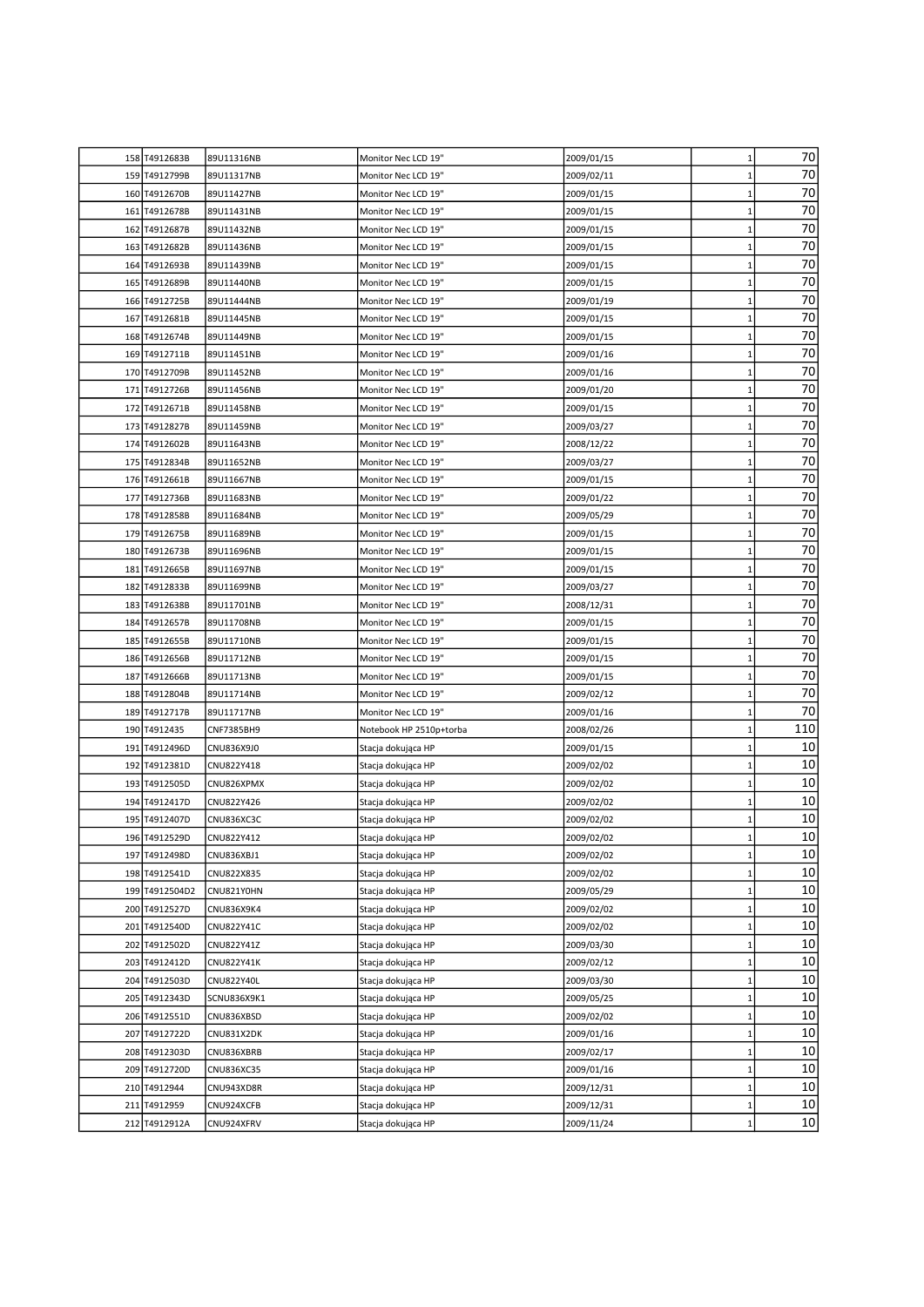| 70<br>$\mathbf 1$<br>158 T4912683B<br>2009/01/15<br>89U11316NB<br>Monitor Nec LCD 19"<br>70<br>159<br>T4912799B<br>$\mathbf{1}$<br>89U11317NB<br>Monitor Nec LCD 19"<br>2009/02/11<br>70<br>160 T4912670B<br>89U11427NB<br>Monitor Nec LCD 19"<br>$\mathbf 1$<br>2009/01/15<br>70<br>$\mathbf{1}$<br>161<br>T4912678B<br>89U11431NB<br>Monitor Nec LCD 19"<br>2009/01/15<br>70<br>162<br>T4912687B<br>Monitor Nec LCD 19"<br>1<br>89U11432NB<br>2009/01/15<br>70<br>T4912682B<br>163<br>89U11436NB<br>Monitor Nec LCD 19"<br>2009/01/15<br>1<br>70<br>T4912693B<br>$\mathbf{1}$<br>164<br>89U11439NB<br>Monitor Nec LCD 19"<br>2009/01/15<br>70<br>165 T4912689B<br>Monitor Nec LCD 19"<br>$\mathbf{1}$<br>89U11440NB<br>2009/01/15<br>70<br>Monitor Nec LCD 19"<br>$\mathbf 1$<br>166 T4912725B<br>89U11444NB<br>2009/01/19<br>70<br>Monitor Nec LCD 19"<br>$\mathbf 1$<br>167 T4912681B<br>89U11445NB<br>2009/01/15<br>70<br>$\mathbf 1$<br>168<br>T4912674B<br>89U11449NB<br>Monitor Nec LCD 19"<br>2009/01/15<br>70<br>T4912711B<br>169<br>89U11451NB<br>Monitor Nec LCD 19"<br>2009/01/16<br>1<br>70<br>T4912709B<br>89U11452NB<br>$\mathbf{1}$<br>170<br>Monitor Nec LCD 19"<br>2009/01/16<br>70<br>T4912726B<br>$\mathbf 1$<br>171<br>89U11456NB<br>Monitor Nec LCD 19"<br>2009/01/20<br>70<br>T4912671B<br>89U11458NB<br>$\mathbf 1$<br>172<br>Monitor Nec LCD 19"<br>2009/01/15<br>70<br>$\mathbf 1$<br>173 T4912827B<br>89U11459NB<br>Monitor Nec LCD 19"<br>2009/03/27<br>70<br>$\mathbf 1$<br>174<br>T4912602B<br>89U11643NB<br>Monitor Nec LCD 19"<br>2008/12/22<br>70<br>T4912834B<br>Monitor Nec LCD 19"<br>1<br>175<br>89U11652NB<br>2009/03/27<br>70<br>$\mathbf{1}$<br>176 T4912661B<br>89U11667NB<br>Monitor Nec LCD 19"<br>2009/01/15<br>70<br>$\mathbf{1}$<br>177<br>T4912736B<br>89U11683NB<br>Monitor Nec LCD 19"<br>2009/01/22<br>70<br>Monitor Nec LCD 19"<br>$\mathbf 1$<br>178 T4912858B<br>89U11684NB<br>2009/05/29<br>70<br>$\mathbf 1$<br>179 T4912675B<br>89U11689NB<br>Monitor Nec LCD 19"<br>2009/01/15<br>70<br>$\mathbf 1$<br>180<br>T4912673B<br>89U11696NB<br>Monitor Nec LCD 19"<br>2009/01/15<br>70<br>$\mathbf 1$<br>181<br>T4912665B<br>89U11697NB<br>Monitor Nec LCD 19"<br>2009/01/15<br>70<br>T4912833B<br>89U11699NB<br>$\mathbf{1}$<br>182<br>Monitor Nec LCD 19"<br>2009/03/27<br>70<br>T4912638B<br>89U11701NB<br>$\mathbf{1}$<br>183<br>Monitor Nec LCD 19"<br>2008/12/31<br>70<br>T4912657B<br>$\mathbf 1$<br>184<br>89U11708NB<br>Monitor Nec LCD 19"<br>2009/01/15<br>70<br>185<br>T4912655B<br>$\mathbf 1$<br>89U11710NB<br>Monitor Nec LCD 19"<br>2009/01/15<br>70<br>T4912656B<br>$\mathbf{1}$<br>186<br>89U11712NB<br>Monitor Nec LCD 19"<br>2009/01/15<br>70<br>T4912666B<br>Monitor Nec LCD 19"<br>1<br>187<br>89U11713NB<br>2009/01/15<br>70<br>188<br>T4912804B<br>89U11714NB<br>Monitor Nec LCD 19"<br>2009/02/12<br>1<br>70<br>T4912717B<br>Monitor Nec LCD 19"<br>$\mathbf{1}$<br>189<br>89U11717NB<br>2009/01/16<br>110<br>$\mathbf{1}$<br>190 T4912435<br>CNF7385BH9<br>Notebook HP 2510p+torba<br>2008/02/26<br>10<br>191 T4912496D<br>$\mathbf 1$<br>CNU836X9J0<br>Stacja dokująca HP<br>2009/01/15<br>10<br>$\mathbf 1$<br>192 T4912381D<br>CNU822Y418<br>Stacja dokująca HP<br>2009/02/02<br>10<br>$\mathbf 1$<br>193<br>T4912505D<br>CNU826XPMX<br>Stacja dokująca HP<br>2009/02/02<br>10<br>194<br>T4912417D<br>CNU822Y426<br>2009/02/02<br>1<br>Stacja dokująca HP<br>10<br>T4912407D<br>CNU836XC3C<br>2009/02/02<br>195<br>Stacja dokująca HP<br>1<br>10<br>196 T4912529D<br>$\mathbf 1$<br>CNU822Y412<br>2009/02/02<br>Stacja dokująca HP<br>10<br>T4912498D<br>2009/02/02<br>$\mathbf 1$<br>197<br>CNU836XBJ1<br>Stacja dokująca HP<br>10<br>198 T4912541D<br>Stacja dokująca HP<br>CNU822X835<br>2009/02/02<br>$\mathbf 1$<br>10<br>T4912504D2<br>199<br>CNU821Y0HN<br>Stacja dokująca HP<br>2009/05/29<br>1<br>10<br>200<br>T4912527D<br>Stacja dokująca HP<br>2009/02/02<br>CNU836X9K4<br>1<br>10<br>201<br>T4912540D<br>CNU822Y41C<br>Stacja dokująca HP<br>2009/02/02<br>1<br>10<br>T4912502D<br>CNU822Y41Z<br>2009/03/30<br>202<br>Stacja dokująca HP<br>1<br>10<br>203 T4912412D<br><b>CNU822Y41K</b><br>Stacja dokująca HP<br>2009/02/12<br>$\mathbf{1}$<br>10<br>204 T4912503D<br>CNU822Y40L<br>Stacja dokująca HP<br>2009/03/30<br>$\mathbf 1$<br>10<br>205 T4912343D<br>SCNU836X9K1<br>Stacja dokująca HP<br>2009/05/25<br>$\mathbf 1$<br>$10\,$<br>2009/02/02<br>206<br>T4912551D<br>CNU836XBSD<br>Stacja dokująca HP<br>1<br>10<br>T4912722D<br>207<br>CNU831X2DK<br>Stacja dokująca HP<br>2009/01/16<br>1<br>10<br>T4912303D<br>208<br>CNU836XBRB<br>Stacja dokująca HP<br>2009/02/17<br>1<br>10<br>T4912720D<br>209<br>CNU836XC35<br>Stacja dokująca HP<br>2009/01/16<br>1<br>$10\,$<br>T4912944<br>210<br>CNU943XD8R<br>Stacja dokująca HP<br>2009/12/31<br>$\mathbf 1$<br>$10\,$<br>211<br>T4912959<br>CNU924XCFB<br>Stacja dokująca HP<br>2009/12/31<br>$\mathbf 1$<br>10 <sup>1</sup><br>212 T4912912A<br>CNU924XFRV<br>Stacja dokująca HP<br>2009/11/24<br>$\mathbf{1}$ |  |  |  |  |
|------------------------------------------------------------------------------------------------------------------------------------------------------------------------------------------------------------------------------------------------------------------------------------------------------------------------------------------------------------------------------------------------------------------------------------------------------------------------------------------------------------------------------------------------------------------------------------------------------------------------------------------------------------------------------------------------------------------------------------------------------------------------------------------------------------------------------------------------------------------------------------------------------------------------------------------------------------------------------------------------------------------------------------------------------------------------------------------------------------------------------------------------------------------------------------------------------------------------------------------------------------------------------------------------------------------------------------------------------------------------------------------------------------------------------------------------------------------------------------------------------------------------------------------------------------------------------------------------------------------------------------------------------------------------------------------------------------------------------------------------------------------------------------------------------------------------------------------------------------------------------------------------------------------------------------------------------------------------------------------------------------------------------------------------------------------------------------------------------------------------------------------------------------------------------------------------------------------------------------------------------------------------------------------------------------------------------------------------------------------------------------------------------------------------------------------------------------------------------------------------------------------------------------------------------------------------------------------------------------------------------------------------------------------------------------------------------------------------------------------------------------------------------------------------------------------------------------------------------------------------------------------------------------------------------------------------------------------------------------------------------------------------------------------------------------------------------------------------------------------------------------------------------------------------------------------------------------------------------------------------------------------------------------------------------------------------------------------------------------------------------------------------------------------------------------------------------------------------------------------------------------------------------------------------------------------------------------------------------------------------------------------------------------------------------------------------------------------------------------------------------------------------------------------------------------------------------------------------------------------------------------------------------------------------------------------------------------------------------------------------------------------------------------------------------------------------------------------------------------------------------------------------------------------------------------------------------------------------------------------------------------------------------------------------------------------------------------------------------------------------------------------------------------------------------------------------------------------------------------------------------------------------------------------------------------------------------------------------------------------------------------------------------------------------------------------------------------------------------------------------------------------------------------------------------------------------------------------------------------------------------------------------------------------------------------------------------------------------------------------------------------------------------------------------------------------------|--|--|--|--|
|                                                                                                                                                                                                                                                                                                                                                                                                                                                                                                                                                                                                                                                                                                                                                                                                                                                                                                                                                                                                                                                                                                                                                                                                                                                                                                                                                                                                                                                                                                                                                                                                                                                                                                                                                                                                                                                                                                                                                                                                                                                                                                                                                                                                                                                                                                                                                                                                                                                                                                                                                                                                                                                                                                                                                                                                                                                                                                                                                                                                                                                                                                                                                                                                                                                                                                                                                                                                                                                                                                                                                                                                                                                                                                                                                                                                                                                                                                                                                                                                                                                                                                                                                                                                                                                                                                                                                                                                                                                                                                                                                                                                                                                                                                                                                                                                                                                                                                                                                                                                                                                                        |  |  |  |  |
|                                                                                                                                                                                                                                                                                                                                                                                                                                                                                                                                                                                                                                                                                                                                                                                                                                                                                                                                                                                                                                                                                                                                                                                                                                                                                                                                                                                                                                                                                                                                                                                                                                                                                                                                                                                                                                                                                                                                                                                                                                                                                                                                                                                                                                                                                                                                                                                                                                                                                                                                                                                                                                                                                                                                                                                                                                                                                                                                                                                                                                                                                                                                                                                                                                                                                                                                                                                                                                                                                                                                                                                                                                                                                                                                                                                                                                                                                                                                                                                                                                                                                                                                                                                                                                                                                                                                                                                                                                                                                                                                                                                                                                                                                                                                                                                                                                                                                                                                                                                                                                                                        |  |  |  |  |
|                                                                                                                                                                                                                                                                                                                                                                                                                                                                                                                                                                                                                                                                                                                                                                                                                                                                                                                                                                                                                                                                                                                                                                                                                                                                                                                                                                                                                                                                                                                                                                                                                                                                                                                                                                                                                                                                                                                                                                                                                                                                                                                                                                                                                                                                                                                                                                                                                                                                                                                                                                                                                                                                                                                                                                                                                                                                                                                                                                                                                                                                                                                                                                                                                                                                                                                                                                                                                                                                                                                                                                                                                                                                                                                                                                                                                                                                                                                                                                                                                                                                                                                                                                                                                                                                                                                                                                                                                                                                                                                                                                                                                                                                                                                                                                                                                                                                                                                                                                                                                                                                        |  |  |  |  |
|                                                                                                                                                                                                                                                                                                                                                                                                                                                                                                                                                                                                                                                                                                                                                                                                                                                                                                                                                                                                                                                                                                                                                                                                                                                                                                                                                                                                                                                                                                                                                                                                                                                                                                                                                                                                                                                                                                                                                                                                                                                                                                                                                                                                                                                                                                                                                                                                                                                                                                                                                                                                                                                                                                                                                                                                                                                                                                                                                                                                                                                                                                                                                                                                                                                                                                                                                                                                                                                                                                                                                                                                                                                                                                                                                                                                                                                                                                                                                                                                                                                                                                                                                                                                                                                                                                                                                                                                                                                                                                                                                                                                                                                                                                                                                                                                                                                                                                                                                                                                                                                                        |  |  |  |  |
|                                                                                                                                                                                                                                                                                                                                                                                                                                                                                                                                                                                                                                                                                                                                                                                                                                                                                                                                                                                                                                                                                                                                                                                                                                                                                                                                                                                                                                                                                                                                                                                                                                                                                                                                                                                                                                                                                                                                                                                                                                                                                                                                                                                                                                                                                                                                                                                                                                                                                                                                                                                                                                                                                                                                                                                                                                                                                                                                                                                                                                                                                                                                                                                                                                                                                                                                                                                                                                                                                                                                                                                                                                                                                                                                                                                                                                                                                                                                                                                                                                                                                                                                                                                                                                                                                                                                                                                                                                                                                                                                                                                                                                                                                                                                                                                                                                                                                                                                                                                                                                                                        |  |  |  |  |
|                                                                                                                                                                                                                                                                                                                                                                                                                                                                                                                                                                                                                                                                                                                                                                                                                                                                                                                                                                                                                                                                                                                                                                                                                                                                                                                                                                                                                                                                                                                                                                                                                                                                                                                                                                                                                                                                                                                                                                                                                                                                                                                                                                                                                                                                                                                                                                                                                                                                                                                                                                                                                                                                                                                                                                                                                                                                                                                                                                                                                                                                                                                                                                                                                                                                                                                                                                                                                                                                                                                                                                                                                                                                                                                                                                                                                                                                                                                                                                                                                                                                                                                                                                                                                                                                                                                                                                                                                                                                                                                                                                                                                                                                                                                                                                                                                                                                                                                                                                                                                                                                        |  |  |  |  |
|                                                                                                                                                                                                                                                                                                                                                                                                                                                                                                                                                                                                                                                                                                                                                                                                                                                                                                                                                                                                                                                                                                                                                                                                                                                                                                                                                                                                                                                                                                                                                                                                                                                                                                                                                                                                                                                                                                                                                                                                                                                                                                                                                                                                                                                                                                                                                                                                                                                                                                                                                                                                                                                                                                                                                                                                                                                                                                                                                                                                                                                                                                                                                                                                                                                                                                                                                                                                                                                                                                                                                                                                                                                                                                                                                                                                                                                                                                                                                                                                                                                                                                                                                                                                                                                                                                                                                                                                                                                                                                                                                                                                                                                                                                                                                                                                                                                                                                                                                                                                                                                                        |  |  |  |  |
|                                                                                                                                                                                                                                                                                                                                                                                                                                                                                                                                                                                                                                                                                                                                                                                                                                                                                                                                                                                                                                                                                                                                                                                                                                                                                                                                                                                                                                                                                                                                                                                                                                                                                                                                                                                                                                                                                                                                                                                                                                                                                                                                                                                                                                                                                                                                                                                                                                                                                                                                                                                                                                                                                                                                                                                                                                                                                                                                                                                                                                                                                                                                                                                                                                                                                                                                                                                                                                                                                                                                                                                                                                                                                                                                                                                                                                                                                                                                                                                                                                                                                                                                                                                                                                                                                                                                                                                                                                                                                                                                                                                                                                                                                                                                                                                                                                                                                                                                                                                                                                                                        |  |  |  |  |
|                                                                                                                                                                                                                                                                                                                                                                                                                                                                                                                                                                                                                                                                                                                                                                                                                                                                                                                                                                                                                                                                                                                                                                                                                                                                                                                                                                                                                                                                                                                                                                                                                                                                                                                                                                                                                                                                                                                                                                                                                                                                                                                                                                                                                                                                                                                                                                                                                                                                                                                                                                                                                                                                                                                                                                                                                                                                                                                                                                                                                                                                                                                                                                                                                                                                                                                                                                                                                                                                                                                                                                                                                                                                                                                                                                                                                                                                                                                                                                                                                                                                                                                                                                                                                                                                                                                                                                                                                                                                                                                                                                                                                                                                                                                                                                                                                                                                                                                                                                                                                                                                        |  |  |  |  |
|                                                                                                                                                                                                                                                                                                                                                                                                                                                                                                                                                                                                                                                                                                                                                                                                                                                                                                                                                                                                                                                                                                                                                                                                                                                                                                                                                                                                                                                                                                                                                                                                                                                                                                                                                                                                                                                                                                                                                                                                                                                                                                                                                                                                                                                                                                                                                                                                                                                                                                                                                                                                                                                                                                                                                                                                                                                                                                                                                                                                                                                                                                                                                                                                                                                                                                                                                                                                                                                                                                                                                                                                                                                                                                                                                                                                                                                                                                                                                                                                                                                                                                                                                                                                                                                                                                                                                                                                                                                                                                                                                                                                                                                                                                                                                                                                                                                                                                                                                                                                                                                                        |  |  |  |  |
|                                                                                                                                                                                                                                                                                                                                                                                                                                                                                                                                                                                                                                                                                                                                                                                                                                                                                                                                                                                                                                                                                                                                                                                                                                                                                                                                                                                                                                                                                                                                                                                                                                                                                                                                                                                                                                                                                                                                                                                                                                                                                                                                                                                                                                                                                                                                                                                                                                                                                                                                                                                                                                                                                                                                                                                                                                                                                                                                                                                                                                                                                                                                                                                                                                                                                                                                                                                                                                                                                                                                                                                                                                                                                                                                                                                                                                                                                                                                                                                                                                                                                                                                                                                                                                                                                                                                                                                                                                                                                                                                                                                                                                                                                                                                                                                                                                                                                                                                                                                                                                                                        |  |  |  |  |
|                                                                                                                                                                                                                                                                                                                                                                                                                                                                                                                                                                                                                                                                                                                                                                                                                                                                                                                                                                                                                                                                                                                                                                                                                                                                                                                                                                                                                                                                                                                                                                                                                                                                                                                                                                                                                                                                                                                                                                                                                                                                                                                                                                                                                                                                                                                                                                                                                                                                                                                                                                                                                                                                                                                                                                                                                                                                                                                                                                                                                                                                                                                                                                                                                                                                                                                                                                                                                                                                                                                                                                                                                                                                                                                                                                                                                                                                                                                                                                                                                                                                                                                                                                                                                                                                                                                                                                                                                                                                                                                                                                                                                                                                                                                                                                                                                                                                                                                                                                                                                                                                        |  |  |  |  |
|                                                                                                                                                                                                                                                                                                                                                                                                                                                                                                                                                                                                                                                                                                                                                                                                                                                                                                                                                                                                                                                                                                                                                                                                                                                                                                                                                                                                                                                                                                                                                                                                                                                                                                                                                                                                                                                                                                                                                                                                                                                                                                                                                                                                                                                                                                                                                                                                                                                                                                                                                                                                                                                                                                                                                                                                                                                                                                                                                                                                                                                                                                                                                                                                                                                                                                                                                                                                                                                                                                                                                                                                                                                                                                                                                                                                                                                                                                                                                                                                                                                                                                                                                                                                                                                                                                                                                                                                                                                                                                                                                                                                                                                                                                                                                                                                                                                                                                                                                                                                                                                                        |  |  |  |  |
|                                                                                                                                                                                                                                                                                                                                                                                                                                                                                                                                                                                                                                                                                                                                                                                                                                                                                                                                                                                                                                                                                                                                                                                                                                                                                                                                                                                                                                                                                                                                                                                                                                                                                                                                                                                                                                                                                                                                                                                                                                                                                                                                                                                                                                                                                                                                                                                                                                                                                                                                                                                                                                                                                                                                                                                                                                                                                                                                                                                                                                                                                                                                                                                                                                                                                                                                                                                                                                                                                                                                                                                                                                                                                                                                                                                                                                                                                                                                                                                                                                                                                                                                                                                                                                                                                                                                                                                                                                                                                                                                                                                                                                                                                                                                                                                                                                                                                                                                                                                                                                                                        |  |  |  |  |
|                                                                                                                                                                                                                                                                                                                                                                                                                                                                                                                                                                                                                                                                                                                                                                                                                                                                                                                                                                                                                                                                                                                                                                                                                                                                                                                                                                                                                                                                                                                                                                                                                                                                                                                                                                                                                                                                                                                                                                                                                                                                                                                                                                                                                                                                                                                                                                                                                                                                                                                                                                                                                                                                                                                                                                                                                                                                                                                                                                                                                                                                                                                                                                                                                                                                                                                                                                                                                                                                                                                                                                                                                                                                                                                                                                                                                                                                                                                                                                                                                                                                                                                                                                                                                                                                                                                                                                                                                                                                                                                                                                                                                                                                                                                                                                                                                                                                                                                                                                                                                                                                        |  |  |  |  |
|                                                                                                                                                                                                                                                                                                                                                                                                                                                                                                                                                                                                                                                                                                                                                                                                                                                                                                                                                                                                                                                                                                                                                                                                                                                                                                                                                                                                                                                                                                                                                                                                                                                                                                                                                                                                                                                                                                                                                                                                                                                                                                                                                                                                                                                                                                                                                                                                                                                                                                                                                                                                                                                                                                                                                                                                                                                                                                                                                                                                                                                                                                                                                                                                                                                                                                                                                                                                                                                                                                                                                                                                                                                                                                                                                                                                                                                                                                                                                                                                                                                                                                                                                                                                                                                                                                                                                                                                                                                                                                                                                                                                                                                                                                                                                                                                                                                                                                                                                                                                                                                                        |  |  |  |  |
|                                                                                                                                                                                                                                                                                                                                                                                                                                                                                                                                                                                                                                                                                                                                                                                                                                                                                                                                                                                                                                                                                                                                                                                                                                                                                                                                                                                                                                                                                                                                                                                                                                                                                                                                                                                                                                                                                                                                                                                                                                                                                                                                                                                                                                                                                                                                                                                                                                                                                                                                                                                                                                                                                                                                                                                                                                                                                                                                                                                                                                                                                                                                                                                                                                                                                                                                                                                                                                                                                                                                                                                                                                                                                                                                                                                                                                                                                                                                                                                                                                                                                                                                                                                                                                                                                                                                                                                                                                                                                                                                                                                                                                                                                                                                                                                                                                                                                                                                                                                                                                                                        |  |  |  |  |
|                                                                                                                                                                                                                                                                                                                                                                                                                                                                                                                                                                                                                                                                                                                                                                                                                                                                                                                                                                                                                                                                                                                                                                                                                                                                                                                                                                                                                                                                                                                                                                                                                                                                                                                                                                                                                                                                                                                                                                                                                                                                                                                                                                                                                                                                                                                                                                                                                                                                                                                                                                                                                                                                                                                                                                                                                                                                                                                                                                                                                                                                                                                                                                                                                                                                                                                                                                                                                                                                                                                                                                                                                                                                                                                                                                                                                                                                                                                                                                                                                                                                                                                                                                                                                                                                                                                                                                                                                                                                                                                                                                                                                                                                                                                                                                                                                                                                                                                                                                                                                                                                        |  |  |  |  |
|                                                                                                                                                                                                                                                                                                                                                                                                                                                                                                                                                                                                                                                                                                                                                                                                                                                                                                                                                                                                                                                                                                                                                                                                                                                                                                                                                                                                                                                                                                                                                                                                                                                                                                                                                                                                                                                                                                                                                                                                                                                                                                                                                                                                                                                                                                                                                                                                                                                                                                                                                                                                                                                                                                                                                                                                                                                                                                                                                                                                                                                                                                                                                                                                                                                                                                                                                                                                                                                                                                                                                                                                                                                                                                                                                                                                                                                                                                                                                                                                                                                                                                                                                                                                                                                                                                                                                                                                                                                                                                                                                                                                                                                                                                                                                                                                                                                                                                                                                                                                                                                                        |  |  |  |  |
|                                                                                                                                                                                                                                                                                                                                                                                                                                                                                                                                                                                                                                                                                                                                                                                                                                                                                                                                                                                                                                                                                                                                                                                                                                                                                                                                                                                                                                                                                                                                                                                                                                                                                                                                                                                                                                                                                                                                                                                                                                                                                                                                                                                                                                                                                                                                                                                                                                                                                                                                                                                                                                                                                                                                                                                                                                                                                                                                                                                                                                                                                                                                                                                                                                                                                                                                                                                                                                                                                                                                                                                                                                                                                                                                                                                                                                                                                                                                                                                                                                                                                                                                                                                                                                                                                                                                                                                                                                                                                                                                                                                                                                                                                                                                                                                                                                                                                                                                                                                                                                                                        |  |  |  |  |
|                                                                                                                                                                                                                                                                                                                                                                                                                                                                                                                                                                                                                                                                                                                                                                                                                                                                                                                                                                                                                                                                                                                                                                                                                                                                                                                                                                                                                                                                                                                                                                                                                                                                                                                                                                                                                                                                                                                                                                                                                                                                                                                                                                                                                                                                                                                                                                                                                                                                                                                                                                                                                                                                                                                                                                                                                                                                                                                                                                                                                                                                                                                                                                                                                                                                                                                                                                                                                                                                                                                                                                                                                                                                                                                                                                                                                                                                                                                                                                                                                                                                                                                                                                                                                                                                                                                                                                                                                                                                                                                                                                                                                                                                                                                                                                                                                                                                                                                                                                                                                                                                        |  |  |  |  |
|                                                                                                                                                                                                                                                                                                                                                                                                                                                                                                                                                                                                                                                                                                                                                                                                                                                                                                                                                                                                                                                                                                                                                                                                                                                                                                                                                                                                                                                                                                                                                                                                                                                                                                                                                                                                                                                                                                                                                                                                                                                                                                                                                                                                                                                                                                                                                                                                                                                                                                                                                                                                                                                                                                                                                                                                                                                                                                                                                                                                                                                                                                                                                                                                                                                                                                                                                                                                                                                                                                                                                                                                                                                                                                                                                                                                                                                                                                                                                                                                                                                                                                                                                                                                                                                                                                                                                                                                                                                                                                                                                                                                                                                                                                                                                                                                                                                                                                                                                                                                                                                                        |  |  |  |  |
|                                                                                                                                                                                                                                                                                                                                                                                                                                                                                                                                                                                                                                                                                                                                                                                                                                                                                                                                                                                                                                                                                                                                                                                                                                                                                                                                                                                                                                                                                                                                                                                                                                                                                                                                                                                                                                                                                                                                                                                                                                                                                                                                                                                                                                                                                                                                                                                                                                                                                                                                                                                                                                                                                                                                                                                                                                                                                                                                                                                                                                                                                                                                                                                                                                                                                                                                                                                                                                                                                                                                                                                                                                                                                                                                                                                                                                                                                                                                                                                                                                                                                                                                                                                                                                                                                                                                                                                                                                                                                                                                                                                                                                                                                                                                                                                                                                                                                                                                                                                                                                                                        |  |  |  |  |
|                                                                                                                                                                                                                                                                                                                                                                                                                                                                                                                                                                                                                                                                                                                                                                                                                                                                                                                                                                                                                                                                                                                                                                                                                                                                                                                                                                                                                                                                                                                                                                                                                                                                                                                                                                                                                                                                                                                                                                                                                                                                                                                                                                                                                                                                                                                                                                                                                                                                                                                                                                                                                                                                                                                                                                                                                                                                                                                                                                                                                                                                                                                                                                                                                                                                                                                                                                                                                                                                                                                                                                                                                                                                                                                                                                                                                                                                                                                                                                                                                                                                                                                                                                                                                                                                                                                                                                                                                                                                                                                                                                                                                                                                                                                                                                                                                                                                                                                                                                                                                                                                        |  |  |  |  |
|                                                                                                                                                                                                                                                                                                                                                                                                                                                                                                                                                                                                                                                                                                                                                                                                                                                                                                                                                                                                                                                                                                                                                                                                                                                                                                                                                                                                                                                                                                                                                                                                                                                                                                                                                                                                                                                                                                                                                                                                                                                                                                                                                                                                                                                                                                                                                                                                                                                                                                                                                                                                                                                                                                                                                                                                                                                                                                                                                                                                                                                                                                                                                                                                                                                                                                                                                                                                                                                                                                                                                                                                                                                                                                                                                                                                                                                                                                                                                                                                                                                                                                                                                                                                                                                                                                                                                                                                                                                                                                                                                                                                                                                                                                                                                                                                                                                                                                                                                                                                                                                                        |  |  |  |  |
|                                                                                                                                                                                                                                                                                                                                                                                                                                                                                                                                                                                                                                                                                                                                                                                                                                                                                                                                                                                                                                                                                                                                                                                                                                                                                                                                                                                                                                                                                                                                                                                                                                                                                                                                                                                                                                                                                                                                                                                                                                                                                                                                                                                                                                                                                                                                                                                                                                                                                                                                                                                                                                                                                                                                                                                                                                                                                                                                                                                                                                                                                                                                                                                                                                                                                                                                                                                                                                                                                                                                                                                                                                                                                                                                                                                                                                                                                                                                                                                                                                                                                                                                                                                                                                                                                                                                                                                                                                                                                                                                                                                                                                                                                                                                                                                                                                                                                                                                                                                                                                                                        |  |  |  |  |
|                                                                                                                                                                                                                                                                                                                                                                                                                                                                                                                                                                                                                                                                                                                                                                                                                                                                                                                                                                                                                                                                                                                                                                                                                                                                                                                                                                                                                                                                                                                                                                                                                                                                                                                                                                                                                                                                                                                                                                                                                                                                                                                                                                                                                                                                                                                                                                                                                                                                                                                                                                                                                                                                                                                                                                                                                                                                                                                                                                                                                                                                                                                                                                                                                                                                                                                                                                                                                                                                                                                                                                                                                                                                                                                                                                                                                                                                                                                                                                                                                                                                                                                                                                                                                                                                                                                                                                                                                                                                                                                                                                                                                                                                                                                                                                                                                                                                                                                                                                                                                                                                        |  |  |  |  |
|                                                                                                                                                                                                                                                                                                                                                                                                                                                                                                                                                                                                                                                                                                                                                                                                                                                                                                                                                                                                                                                                                                                                                                                                                                                                                                                                                                                                                                                                                                                                                                                                                                                                                                                                                                                                                                                                                                                                                                                                                                                                                                                                                                                                                                                                                                                                                                                                                                                                                                                                                                                                                                                                                                                                                                                                                                                                                                                                                                                                                                                                                                                                                                                                                                                                                                                                                                                                                                                                                                                                                                                                                                                                                                                                                                                                                                                                                                                                                                                                                                                                                                                                                                                                                                                                                                                                                                                                                                                                                                                                                                                                                                                                                                                                                                                                                                                                                                                                                                                                                                                                        |  |  |  |  |
|                                                                                                                                                                                                                                                                                                                                                                                                                                                                                                                                                                                                                                                                                                                                                                                                                                                                                                                                                                                                                                                                                                                                                                                                                                                                                                                                                                                                                                                                                                                                                                                                                                                                                                                                                                                                                                                                                                                                                                                                                                                                                                                                                                                                                                                                                                                                                                                                                                                                                                                                                                                                                                                                                                                                                                                                                                                                                                                                                                                                                                                                                                                                                                                                                                                                                                                                                                                                                                                                                                                                                                                                                                                                                                                                                                                                                                                                                                                                                                                                                                                                                                                                                                                                                                                                                                                                                                                                                                                                                                                                                                                                                                                                                                                                                                                                                                                                                                                                                                                                                                                                        |  |  |  |  |
|                                                                                                                                                                                                                                                                                                                                                                                                                                                                                                                                                                                                                                                                                                                                                                                                                                                                                                                                                                                                                                                                                                                                                                                                                                                                                                                                                                                                                                                                                                                                                                                                                                                                                                                                                                                                                                                                                                                                                                                                                                                                                                                                                                                                                                                                                                                                                                                                                                                                                                                                                                                                                                                                                                                                                                                                                                                                                                                                                                                                                                                                                                                                                                                                                                                                                                                                                                                                                                                                                                                                                                                                                                                                                                                                                                                                                                                                                                                                                                                                                                                                                                                                                                                                                                                                                                                                                                                                                                                                                                                                                                                                                                                                                                                                                                                                                                                                                                                                                                                                                                                                        |  |  |  |  |
|                                                                                                                                                                                                                                                                                                                                                                                                                                                                                                                                                                                                                                                                                                                                                                                                                                                                                                                                                                                                                                                                                                                                                                                                                                                                                                                                                                                                                                                                                                                                                                                                                                                                                                                                                                                                                                                                                                                                                                                                                                                                                                                                                                                                                                                                                                                                                                                                                                                                                                                                                                                                                                                                                                                                                                                                                                                                                                                                                                                                                                                                                                                                                                                                                                                                                                                                                                                                                                                                                                                                                                                                                                                                                                                                                                                                                                                                                                                                                                                                                                                                                                                                                                                                                                                                                                                                                                                                                                                                                                                                                                                                                                                                                                                                                                                                                                                                                                                                                                                                                                                                        |  |  |  |  |
|                                                                                                                                                                                                                                                                                                                                                                                                                                                                                                                                                                                                                                                                                                                                                                                                                                                                                                                                                                                                                                                                                                                                                                                                                                                                                                                                                                                                                                                                                                                                                                                                                                                                                                                                                                                                                                                                                                                                                                                                                                                                                                                                                                                                                                                                                                                                                                                                                                                                                                                                                                                                                                                                                                                                                                                                                                                                                                                                                                                                                                                                                                                                                                                                                                                                                                                                                                                                                                                                                                                                                                                                                                                                                                                                                                                                                                                                                                                                                                                                                                                                                                                                                                                                                                                                                                                                                                                                                                                                                                                                                                                                                                                                                                                                                                                                                                                                                                                                                                                                                                                                        |  |  |  |  |
|                                                                                                                                                                                                                                                                                                                                                                                                                                                                                                                                                                                                                                                                                                                                                                                                                                                                                                                                                                                                                                                                                                                                                                                                                                                                                                                                                                                                                                                                                                                                                                                                                                                                                                                                                                                                                                                                                                                                                                                                                                                                                                                                                                                                                                                                                                                                                                                                                                                                                                                                                                                                                                                                                                                                                                                                                                                                                                                                                                                                                                                                                                                                                                                                                                                                                                                                                                                                                                                                                                                                                                                                                                                                                                                                                                                                                                                                                                                                                                                                                                                                                                                                                                                                                                                                                                                                                                                                                                                                                                                                                                                                                                                                                                                                                                                                                                                                                                                                                                                                                                                                        |  |  |  |  |
|                                                                                                                                                                                                                                                                                                                                                                                                                                                                                                                                                                                                                                                                                                                                                                                                                                                                                                                                                                                                                                                                                                                                                                                                                                                                                                                                                                                                                                                                                                                                                                                                                                                                                                                                                                                                                                                                                                                                                                                                                                                                                                                                                                                                                                                                                                                                                                                                                                                                                                                                                                                                                                                                                                                                                                                                                                                                                                                                                                                                                                                                                                                                                                                                                                                                                                                                                                                                                                                                                                                                                                                                                                                                                                                                                                                                                                                                                                                                                                                                                                                                                                                                                                                                                                                                                                                                                                                                                                                                                                                                                                                                                                                                                                                                                                                                                                                                                                                                                                                                                                                                        |  |  |  |  |
|                                                                                                                                                                                                                                                                                                                                                                                                                                                                                                                                                                                                                                                                                                                                                                                                                                                                                                                                                                                                                                                                                                                                                                                                                                                                                                                                                                                                                                                                                                                                                                                                                                                                                                                                                                                                                                                                                                                                                                                                                                                                                                                                                                                                                                                                                                                                                                                                                                                                                                                                                                                                                                                                                                                                                                                                                                                                                                                                                                                                                                                                                                                                                                                                                                                                                                                                                                                                                                                                                                                                                                                                                                                                                                                                                                                                                                                                                                                                                                                                                                                                                                                                                                                                                                                                                                                                                                                                                                                                                                                                                                                                                                                                                                                                                                                                                                                                                                                                                                                                                                                                        |  |  |  |  |
|                                                                                                                                                                                                                                                                                                                                                                                                                                                                                                                                                                                                                                                                                                                                                                                                                                                                                                                                                                                                                                                                                                                                                                                                                                                                                                                                                                                                                                                                                                                                                                                                                                                                                                                                                                                                                                                                                                                                                                                                                                                                                                                                                                                                                                                                                                                                                                                                                                                                                                                                                                                                                                                                                                                                                                                                                                                                                                                                                                                                                                                                                                                                                                                                                                                                                                                                                                                                                                                                                                                                                                                                                                                                                                                                                                                                                                                                                                                                                                                                                                                                                                                                                                                                                                                                                                                                                                                                                                                                                                                                                                                                                                                                                                                                                                                                                                                                                                                                                                                                                                                                        |  |  |  |  |
|                                                                                                                                                                                                                                                                                                                                                                                                                                                                                                                                                                                                                                                                                                                                                                                                                                                                                                                                                                                                                                                                                                                                                                                                                                                                                                                                                                                                                                                                                                                                                                                                                                                                                                                                                                                                                                                                                                                                                                                                                                                                                                                                                                                                                                                                                                                                                                                                                                                                                                                                                                                                                                                                                                                                                                                                                                                                                                                                                                                                                                                                                                                                                                                                                                                                                                                                                                                                                                                                                                                                                                                                                                                                                                                                                                                                                                                                                                                                                                                                                                                                                                                                                                                                                                                                                                                                                                                                                                                                                                                                                                                                                                                                                                                                                                                                                                                                                                                                                                                                                                                                        |  |  |  |  |
|                                                                                                                                                                                                                                                                                                                                                                                                                                                                                                                                                                                                                                                                                                                                                                                                                                                                                                                                                                                                                                                                                                                                                                                                                                                                                                                                                                                                                                                                                                                                                                                                                                                                                                                                                                                                                                                                                                                                                                                                                                                                                                                                                                                                                                                                                                                                                                                                                                                                                                                                                                                                                                                                                                                                                                                                                                                                                                                                                                                                                                                                                                                                                                                                                                                                                                                                                                                                                                                                                                                                                                                                                                                                                                                                                                                                                                                                                                                                                                                                                                                                                                                                                                                                                                                                                                                                                                                                                                                                                                                                                                                                                                                                                                                                                                                                                                                                                                                                                                                                                                                                        |  |  |  |  |
|                                                                                                                                                                                                                                                                                                                                                                                                                                                                                                                                                                                                                                                                                                                                                                                                                                                                                                                                                                                                                                                                                                                                                                                                                                                                                                                                                                                                                                                                                                                                                                                                                                                                                                                                                                                                                                                                                                                                                                                                                                                                                                                                                                                                                                                                                                                                                                                                                                                                                                                                                                                                                                                                                                                                                                                                                                                                                                                                                                                                                                                                                                                                                                                                                                                                                                                                                                                                                                                                                                                                                                                                                                                                                                                                                                                                                                                                                                                                                                                                                                                                                                                                                                                                                                                                                                                                                                                                                                                                                                                                                                                                                                                                                                                                                                                                                                                                                                                                                                                                                                                                        |  |  |  |  |
|                                                                                                                                                                                                                                                                                                                                                                                                                                                                                                                                                                                                                                                                                                                                                                                                                                                                                                                                                                                                                                                                                                                                                                                                                                                                                                                                                                                                                                                                                                                                                                                                                                                                                                                                                                                                                                                                                                                                                                                                                                                                                                                                                                                                                                                                                                                                                                                                                                                                                                                                                                                                                                                                                                                                                                                                                                                                                                                                                                                                                                                                                                                                                                                                                                                                                                                                                                                                                                                                                                                                                                                                                                                                                                                                                                                                                                                                                                                                                                                                                                                                                                                                                                                                                                                                                                                                                                                                                                                                                                                                                                                                                                                                                                                                                                                                                                                                                                                                                                                                                                                                        |  |  |  |  |
|                                                                                                                                                                                                                                                                                                                                                                                                                                                                                                                                                                                                                                                                                                                                                                                                                                                                                                                                                                                                                                                                                                                                                                                                                                                                                                                                                                                                                                                                                                                                                                                                                                                                                                                                                                                                                                                                                                                                                                                                                                                                                                                                                                                                                                                                                                                                                                                                                                                                                                                                                                                                                                                                                                                                                                                                                                                                                                                                                                                                                                                                                                                                                                                                                                                                                                                                                                                                                                                                                                                                                                                                                                                                                                                                                                                                                                                                                                                                                                                                                                                                                                                                                                                                                                                                                                                                                                                                                                                                                                                                                                                                                                                                                                                                                                                                                                                                                                                                                                                                                                                                        |  |  |  |  |
|                                                                                                                                                                                                                                                                                                                                                                                                                                                                                                                                                                                                                                                                                                                                                                                                                                                                                                                                                                                                                                                                                                                                                                                                                                                                                                                                                                                                                                                                                                                                                                                                                                                                                                                                                                                                                                                                                                                                                                                                                                                                                                                                                                                                                                                                                                                                                                                                                                                                                                                                                                                                                                                                                                                                                                                                                                                                                                                                                                                                                                                                                                                                                                                                                                                                                                                                                                                                                                                                                                                                                                                                                                                                                                                                                                                                                                                                                                                                                                                                                                                                                                                                                                                                                                                                                                                                                                                                                                                                                                                                                                                                                                                                                                                                                                                                                                                                                                                                                                                                                                                                        |  |  |  |  |
|                                                                                                                                                                                                                                                                                                                                                                                                                                                                                                                                                                                                                                                                                                                                                                                                                                                                                                                                                                                                                                                                                                                                                                                                                                                                                                                                                                                                                                                                                                                                                                                                                                                                                                                                                                                                                                                                                                                                                                                                                                                                                                                                                                                                                                                                                                                                                                                                                                                                                                                                                                                                                                                                                                                                                                                                                                                                                                                                                                                                                                                                                                                                                                                                                                                                                                                                                                                                                                                                                                                                                                                                                                                                                                                                                                                                                                                                                                                                                                                                                                                                                                                                                                                                                                                                                                                                                                                                                                                                                                                                                                                                                                                                                                                                                                                                                                                                                                                                                                                                                                                                        |  |  |  |  |
|                                                                                                                                                                                                                                                                                                                                                                                                                                                                                                                                                                                                                                                                                                                                                                                                                                                                                                                                                                                                                                                                                                                                                                                                                                                                                                                                                                                                                                                                                                                                                                                                                                                                                                                                                                                                                                                                                                                                                                                                                                                                                                                                                                                                                                                                                                                                                                                                                                                                                                                                                                                                                                                                                                                                                                                                                                                                                                                                                                                                                                                                                                                                                                                                                                                                                                                                                                                                                                                                                                                                                                                                                                                                                                                                                                                                                                                                                                                                                                                                                                                                                                                                                                                                                                                                                                                                                                                                                                                                                                                                                                                                                                                                                                                                                                                                                                                                                                                                                                                                                                                                        |  |  |  |  |
|                                                                                                                                                                                                                                                                                                                                                                                                                                                                                                                                                                                                                                                                                                                                                                                                                                                                                                                                                                                                                                                                                                                                                                                                                                                                                                                                                                                                                                                                                                                                                                                                                                                                                                                                                                                                                                                                                                                                                                                                                                                                                                                                                                                                                                                                                                                                                                                                                                                                                                                                                                                                                                                                                                                                                                                                                                                                                                                                                                                                                                                                                                                                                                                                                                                                                                                                                                                                                                                                                                                                                                                                                                                                                                                                                                                                                                                                                                                                                                                                                                                                                                                                                                                                                                                                                                                                                                                                                                                                                                                                                                                                                                                                                                                                                                                                                                                                                                                                                                                                                                                                        |  |  |  |  |
|                                                                                                                                                                                                                                                                                                                                                                                                                                                                                                                                                                                                                                                                                                                                                                                                                                                                                                                                                                                                                                                                                                                                                                                                                                                                                                                                                                                                                                                                                                                                                                                                                                                                                                                                                                                                                                                                                                                                                                                                                                                                                                                                                                                                                                                                                                                                                                                                                                                                                                                                                                                                                                                                                                                                                                                                                                                                                                                                                                                                                                                                                                                                                                                                                                                                                                                                                                                                                                                                                                                                                                                                                                                                                                                                                                                                                                                                                                                                                                                                                                                                                                                                                                                                                                                                                                                                                                                                                                                                                                                                                                                                                                                                                                                                                                                                                                                                                                                                                                                                                                                                        |  |  |  |  |
|                                                                                                                                                                                                                                                                                                                                                                                                                                                                                                                                                                                                                                                                                                                                                                                                                                                                                                                                                                                                                                                                                                                                                                                                                                                                                                                                                                                                                                                                                                                                                                                                                                                                                                                                                                                                                                                                                                                                                                                                                                                                                                                                                                                                                                                                                                                                                                                                                                                                                                                                                                                                                                                                                                                                                                                                                                                                                                                                                                                                                                                                                                                                                                                                                                                                                                                                                                                                                                                                                                                                                                                                                                                                                                                                                                                                                                                                                                                                                                                                                                                                                                                                                                                                                                                                                                                                                                                                                                                                                                                                                                                                                                                                                                                                                                                                                                                                                                                                                                                                                                                                        |  |  |  |  |
|                                                                                                                                                                                                                                                                                                                                                                                                                                                                                                                                                                                                                                                                                                                                                                                                                                                                                                                                                                                                                                                                                                                                                                                                                                                                                                                                                                                                                                                                                                                                                                                                                                                                                                                                                                                                                                                                                                                                                                                                                                                                                                                                                                                                                                                                                                                                                                                                                                                                                                                                                                                                                                                                                                                                                                                                                                                                                                                                                                                                                                                                                                                                                                                                                                                                                                                                                                                                                                                                                                                                                                                                                                                                                                                                                                                                                                                                                                                                                                                                                                                                                                                                                                                                                                                                                                                                                                                                                                                                                                                                                                                                                                                                                                                                                                                                                                                                                                                                                                                                                                                                        |  |  |  |  |
|                                                                                                                                                                                                                                                                                                                                                                                                                                                                                                                                                                                                                                                                                                                                                                                                                                                                                                                                                                                                                                                                                                                                                                                                                                                                                                                                                                                                                                                                                                                                                                                                                                                                                                                                                                                                                                                                                                                                                                                                                                                                                                                                                                                                                                                                                                                                                                                                                                                                                                                                                                                                                                                                                                                                                                                                                                                                                                                                                                                                                                                                                                                                                                                                                                                                                                                                                                                                                                                                                                                                                                                                                                                                                                                                                                                                                                                                                                                                                                                                                                                                                                                                                                                                                                                                                                                                                                                                                                                                                                                                                                                                                                                                                                                                                                                                                                                                                                                                                                                                                                                                        |  |  |  |  |
|                                                                                                                                                                                                                                                                                                                                                                                                                                                                                                                                                                                                                                                                                                                                                                                                                                                                                                                                                                                                                                                                                                                                                                                                                                                                                                                                                                                                                                                                                                                                                                                                                                                                                                                                                                                                                                                                                                                                                                                                                                                                                                                                                                                                                                                                                                                                                                                                                                                                                                                                                                                                                                                                                                                                                                                                                                                                                                                                                                                                                                                                                                                                                                                                                                                                                                                                                                                                                                                                                                                                                                                                                                                                                                                                                                                                                                                                                                                                                                                                                                                                                                                                                                                                                                                                                                                                                                                                                                                                                                                                                                                                                                                                                                                                                                                                                                                                                                                                                                                                                                                                        |  |  |  |  |
|                                                                                                                                                                                                                                                                                                                                                                                                                                                                                                                                                                                                                                                                                                                                                                                                                                                                                                                                                                                                                                                                                                                                                                                                                                                                                                                                                                                                                                                                                                                                                                                                                                                                                                                                                                                                                                                                                                                                                                                                                                                                                                                                                                                                                                                                                                                                                                                                                                                                                                                                                                                                                                                                                                                                                                                                                                                                                                                                                                                                                                                                                                                                                                                                                                                                                                                                                                                                                                                                                                                                                                                                                                                                                                                                                                                                                                                                                                                                                                                                                                                                                                                                                                                                                                                                                                                                                                                                                                                                                                                                                                                                                                                                                                                                                                                                                                                                                                                                                                                                                                                                        |  |  |  |  |
|                                                                                                                                                                                                                                                                                                                                                                                                                                                                                                                                                                                                                                                                                                                                                                                                                                                                                                                                                                                                                                                                                                                                                                                                                                                                                                                                                                                                                                                                                                                                                                                                                                                                                                                                                                                                                                                                                                                                                                                                                                                                                                                                                                                                                                                                                                                                                                                                                                                                                                                                                                                                                                                                                                                                                                                                                                                                                                                                                                                                                                                                                                                                                                                                                                                                                                                                                                                                                                                                                                                                                                                                                                                                                                                                                                                                                                                                                                                                                                                                                                                                                                                                                                                                                                                                                                                                                                                                                                                                                                                                                                                                                                                                                                                                                                                                                                                                                                                                                                                                                                                                        |  |  |  |  |
|                                                                                                                                                                                                                                                                                                                                                                                                                                                                                                                                                                                                                                                                                                                                                                                                                                                                                                                                                                                                                                                                                                                                                                                                                                                                                                                                                                                                                                                                                                                                                                                                                                                                                                                                                                                                                                                                                                                                                                                                                                                                                                                                                                                                                                                                                                                                                                                                                                                                                                                                                                                                                                                                                                                                                                                                                                                                                                                                                                                                                                                                                                                                                                                                                                                                                                                                                                                                                                                                                                                                                                                                                                                                                                                                                                                                                                                                                                                                                                                                                                                                                                                                                                                                                                                                                                                                                                                                                                                                                                                                                                                                                                                                                                                                                                                                                                                                                                                                                                                                                                                                        |  |  |  |  |
|                                                                                                                                                                                                                                                                                                                                                                                                                                                                                                                                                                                                                                                                                                                                                                                                                                                                                                                                                                                                                                                                                                                                                                                                                                                                                                                                                                                                                                                                                                                                                                                                                                                                                                                                                                                                                                                                                                                                                                                                                                                                                                                                                                                                                                                                                                                                                                                                                                                                                                                                                                                                                                                                                                                                                                                                                                                                                                                                                                                                                                                                                                                                                                                                                                                                                                                                                                                                                                                                                                                                                                                                                                                                                                                                                                                                                                                                                                                                                                                                                                                                                                                                                                                                                                                                                                                                                                                                                                                                                                                                                                                                                                                                                                                                                                                                                                                                                                                                                                                                                                                                        |  |  |  |  |
|                                                                                                                                                                                                                                                                                                                                                                                                                                                                                                                                                                                                                                                                                                                                                                                                                                                                                                                                                                                                                                                                                                                                                                                                                                                                                                                                                                                                                                                                                                                                                                                                                                                                                                                                                                                                                                                                                                                                                                                                                                                                                                                                                                                                                                                                                                                                                                                                                                                                                                                                                                                                                                                                                                                                                                                                                                                                                                                                                                                                                                                                                                                                                                                                                                                                                                                                                                                                                                                                                                                                                                                                                                                                                                                                                                                                                                                                                                                                                                                                                                                                                                                                                                                                                                                                                                                                                                                                                                                                                                                                                                                                                                                                                                                                                                                                                                                                                                                                                                                                                                                                        |  |  |  |  |